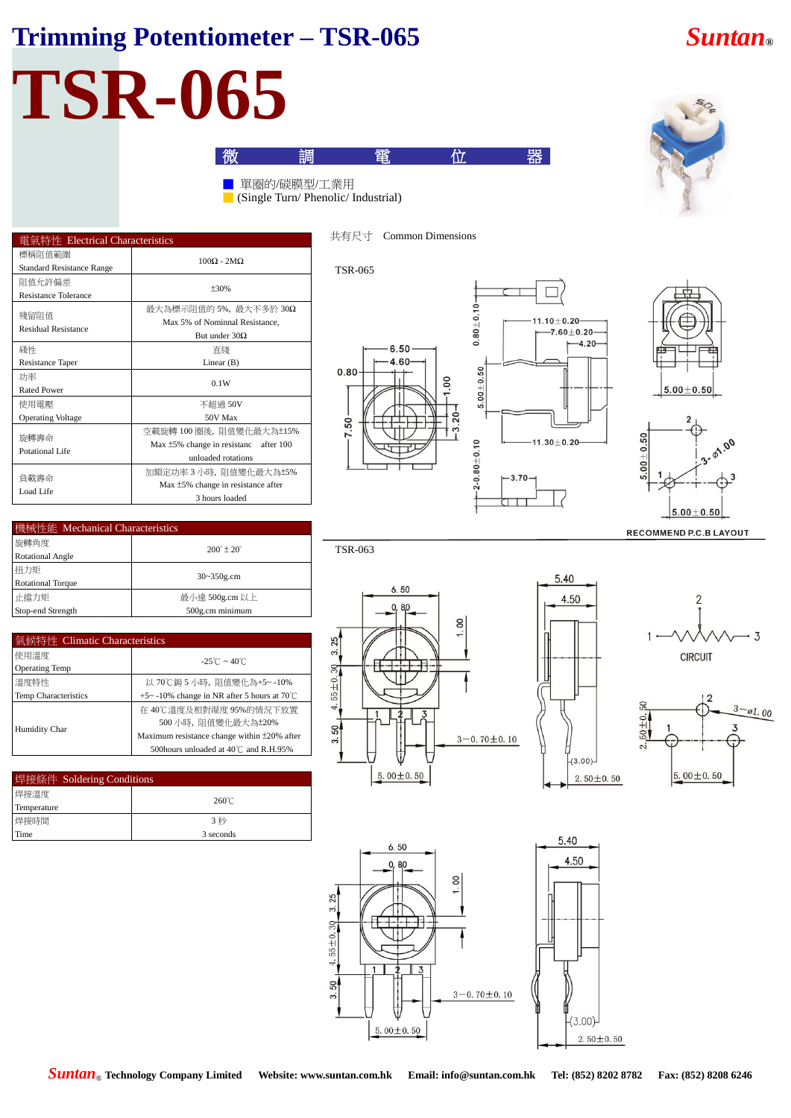## **Trimming Potentiometer – TSR-065** *Suntan***®**

# **TSR-065**

| 電氣特性 Electrical Characteristics            |                                                                                                |  |
|--------------------------------------------|------------------------------------------------------------------------------------------------|--|
| 標稱阻值範圍<br><b>Standard Resistance Range</b> | $100\Omega - 2MO$                                                                              |  |
| 阻值允許偏差<br>Resistance Tolerance             | $+30%$                                                                                         |  |
| 殘留阻值<br><b>Residual Resistance</b>         | 最大為標示阻值的 5%, 最大不多於 30Ω<br>Max 5% of Nominnal Resistance,<br>But under $30\Omega$               |  |
| 綫性<br>Resistance Taper                     | 直綫<br>Linear $(B)$                                                                             |  |
| 功率<br><b>Rated Power</b>                   | 0.1W                                                                                           |  |
| 使用電壓<br><b>Operating Voltage</b>           | 不超過 50V<br>50V Max                                                                             |  |
| 旋轉壽命<br>Potational Life                    | 空載旋轉 100 圈後,阻值變化最大為±15%<br>Max $\pm$ 5% change in resistanc<br>after 100<br>unloaded rotations |  |
| 負載壽命<br>Load Life                          | 加額定功率 3 小時, 阻值變化最大為±5%<br>Max ±5% change in resistance after<br>3 hours loaded                 |  |

| 機械性能 Mechanical Characteristics |                              |  |  |
|---------------------------------|------------------------------|--|--|
| 旋轉角度                            | $200^{\circ}$ ± $20^{\circ}$ |  |  |
| <b>Rotational Angle</b>         |                              |  |  |
| 扭力矩                             |                              |  |  |
| <b>Rotational Torque</b>        | $30 - 350$ g.cm              |  |  |
| 止擋力矩                            | 最小達 500g.cm 以上               |  |  |
| Stop-end Strength               | 500g.cm minimum              |  |  |

| 氣候特性 Climatic Characteristics |                                             |  |
|-------------------------------|---------------------------------------------|--|
| 使用溫度                          | $-25^{\circ}$ C ~ 40 $^{\circ}$ C           |  |
| <b>Operating Temp</b>         |                                             |  |
| 溫度特性                          | 以 70℃鋦 5 小時, 阴值變化為+5~ -10%                  |  |
| Temp Characteristics          | +5~-10% change in NR after 5 hours at 70°C  |  |
| Humidity Char                 | 在 40℃溫度及相對湿度 95%的情況下放置                      |  |
|                               | 500 小時,阻值變化最大為±20%                          |  |
|                               | Maximum resistance change within ±20% after |  |
|                               | 500 hours unloaded at 40℃ and R.H.95%       |  |

| 焊接條件 Soldering Conditions |                 |
|---------------------------|-----------------|
| 焊接溫度                      | $260^{\circ}$ C |
| Temperature               |                 |
| 焊接時間                      | 3 秒             |
| Time                      | 3 seconds       |



微 電 位 器

### TSR-065

TSR-063

■ 單圈的/碳膜型/工業用

 $\Box$  (Single Turn/ Phenolic/ Industrial)









 $6.50$  $\overline{\mathsf{R}}$  $\infty$ 25  $\alpha$  $55 \pm 0.30$  $\overline{4}$ 50  $3 - 0.70 \pm 0.10$  $5.00 \pm 0.50$